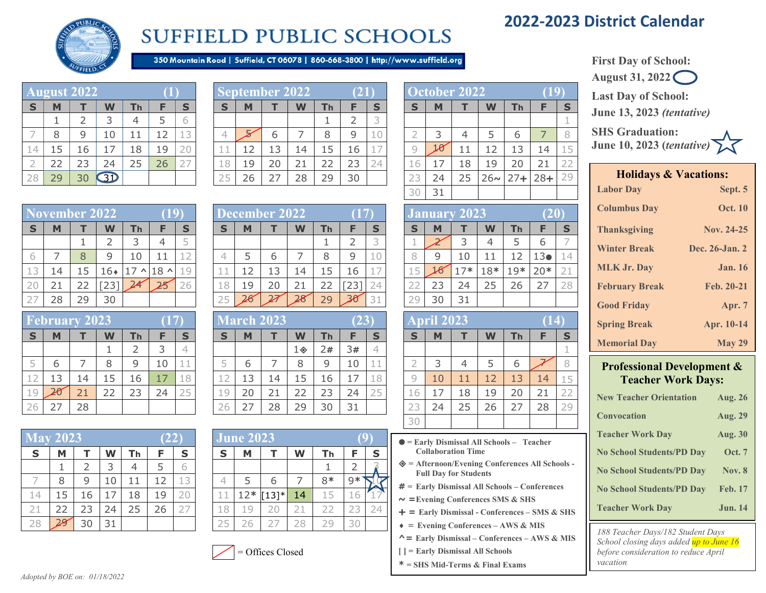# **2022-2023 District Calendar**



# **SUFFIELD PUBLIC SCHOOLS**

350 Mountain Road | Suffield, CT 06078 | 860-668-3800 | http://www.suffield.org

|                | August 2022 |                |    |    |    |    |
|----------------|-------------|----------------|----|----|----|----|
| $\mathbf S$    | M           |                | W  | Th | F. | S  |
|                | ı           | $\overline{2}$ | 3  | 4  | 5  |    |
|                | 8           | 9              | 10 | 11 | 12 | 13 |
| 14             | 15          | 16             | 17 | 18 | 19 | 20 |
| $\overline{2}$ | 22          | 23             | 24 | 25 | 26 | 27 |
| 28             | 29          | 30             | 31 |    |    |    |

|    | ∽  |    |          |     |    |              |   | ptember 2022' |    |                |    | 21) |                      |                  | <b>October 2022</b> |    |          |    |                |    |
|----|----|----|----------|-----|----|--------------|---|---------------|----|----------------|----|-----|----------------------|------------------|---------------------|----|----------|----|----------------|----|
| S  |    |    | W        | l h |    |              |   | M             |    | W              | Тh |     |                      |                  | M                   |    | W        | Гh |                | S  |
|    |    |    |          | ↵   |    |              |   |               |    |                |    |     |                      |                  |                     |    |          |    |                |    |
|    | 8  | q  | $\Omega$ |     | 12 |              |   |               | h  |                |    | q   | 10                   |                  |                     |    |          |    |                |    |
|    | 15 | .6 |          | 18  | 19 | <u>_</u>     |   | 12            | 13 | $\overline{a}$ |    | 16  | <b>County</b><br>- 1 |                  |                     | 11 |          |    |                | -5 |
|    | 22 | 23 | 24       | 25  | 26 | $- -$<br>. . |   | 19            | 20 |                |    | 23  | 24                   |                  |                     | ⊥8 | 19       |    | 2 <sub>1</sub> |    |
| 28 | 29 | 30 |          |     |    |              | ⌒ | 26            |    | 28             | 29 | 30  |                      | $\sim$<br>$\sim$ | 24                  | 25 | $26\sim$ |    | $28+$          | 29 |

|       |                      |               |               |    |                     |     |           |               |    |        |                 |        |      |      | 31                        |               |     |     |                 |          |
|-------|----------------------|---------------|---------------|----|---------------------|-----|-----------|---------------|----|--------|-----------------|--------|------|------|---------------------------|---------------|-----|-----|-----------------|----------|
|       | <b>November 2022</b> |               |               |    |                     | 19) |           | December 2022 |    |        |                 |        |      |      | January 2023 <sup>1</sup> |               |     |     |                 |          |
| S     | М                    |               | W             | Th |                     |     | c         | M             |    | W      | Тh              |        | S.   | ►    | M                         |               | W   | Th. |                 | <b>S</b> |
|       |                      |               |               |    | 4                   |     |           |               |    |        |                 |        |      |      |                           |               | 4   |     | ь               |          |
| ь     |                      | 8             | a             | 10 | 11                  |     |           |               | b  |        | 8               | 9      | 10   |      | 9                         | 10            |     |     | 13 <sub>0</sub> |          |
|       | 14                   | 15            | .6∙           |    | $\sim$ 18 $\sim$ 19 |     | also also | 12            | 13 | ⊥4     | $\overline{.5}$ | 16     |      |      | 16                        | $17*$         | 18* | 19* | $20*$           |          |
| 20    | 21                   |               |               |    | 25                  | 26. | 18        | 19            | 20 | 21     | 22              | [23]   |      | __   | 23                        | 24            | 25  | 26  | 27              | 28       |
| $- -$ | $\sim$ $\sim$        | $\sim$ $\sim$ | $\sim$ $\sim$ |    |                     |     | $- -$     |               |    | $\sim$ | $\sim$ $\sim$   | $\sim$ | $-1$ | $-1$ | $\sim$ $\sim$             | $\sim$ $\sim$ |     |     |                 |          |

|             | <b>February 2023</b> |    |    |    |    |    |
|-------------|----------------------|----|----|----|----|----|
| $\mathbf S$ | М                    |    |    | Тh | Ð  | S  |
|             |                      |    |    | 2  | 3  |    |
| 5           | 6                    |    | 8  | 9  | 10 | 11 |
| 12          | 13                   | 14 | 15 | 16 | 17 | 18 |
| 19          |                      | 21 | 22 | 23 | 24 | 25 |
|             | 27                   | 28 |    |    |    |    |

| $\overline{\text{Mav}}$ 2023 |    |    |    |    | (22) |    |        | <b>June 2023</b> |         |    |    |    |  |
|------------------------------|----|----|----|----|------|----|--------|------------------|---------|----|----|----|--|
| S                            | М  |    | W  | Тh | F    | S  | S      | М                |         | W  | Τh | E  |  |
|                              |    | 2  | 3  | 4  | 5    | 6  |        |                  |         |    |    |    |  |
|                              | 8  | 9  | 10 |    | 12   | 13 |        | 5                | 6       |    | 8* | 9* |  |
| 14                           | 15 | 16 |    | 18 | 19   | 20 |        | $12*$            | $[13]*$ | 14 | 15 | 16 |  |
| 21                           | 22 | 23 | 24 | 25 | 26   | 27 | .8     | 19               | 20      | 21 | フフ |    |  |
|                              | 29 | 30 | 31 |    |      |    | $\sim$ |                  |         |    |    | 3( |  |

|          |    | emper 2022 |                           |    |                  |    |           | ecember 2022: |                          |    |    |    |         |    | January | ZUZ3  |     |     |       |    |
|----------|----|------------|---------------------------|----|------------------|----|-----------|---------------|--------------------------|----|----|----|---------|----|---------|-------|-----|-----|-------|----|
| <b>S</b> |    |            | $\boldsymbol{\mathsf{W}}$ | Τh |                  |    | Б         | M             |                          | W  | Гh |    | e       |    | M       |       | W   | Тh  |       | C  |
|          |    |            |                           |    |                  |    |           |               |                          |    |    |    |         |    |         |       |     |     |       |    |
|          |    |            |                           |    |                  |    |           |               | h                        |    |    |    | ∸       |    | q       | 10    |     |     |       |    |
| ∸        | 14 | 5          | $16*$                     |    | $\sim$ 18 $\sim$ | 19 | also also |               |                          | 4  |    | 16 | $\sim$  |    |         | $17*$ | 18* | 19* | $20*$ | 2: |
| 20       |    | ∠∠         | ت ے                       |    | 25               | 26 | --        | 19            |                          |    |    | 23 | ᄼ<br>∠⊤ |    | 23      | 24    | 25  | 26  |       | 28 |
|          | 28 | 29         | 30                        |    |                  |    | ر ے       | 26            | $\overline{\mathscr{L}}$ | 28 | 29 | 30 | 31      | つり | 30      | 31    |     |     |       |    |

|    | February            |    | 2023 |    |    | 17)       |         |    | <b>March 2023</b> |    |    | (23)                     |           |                                | <b>April 2023</b> |    |    |    | $\lfloor 4 \rfloor$ |          |
|----|---------------------|----|------|----|----|-----------|---------|----|-------------------|----|----|--------------------------|-----------|--------------------------------|-------------------|----|----|----|---------------------|----------|
| S  |                     |    | W    | Тh | F  | S         | S       | M  |                   | W  | Тh |                          | <b>S</b>  |                                | M                 |    | W  | Th |                     | <b>S</b> |
|    |                     |    |      |    |    |           |         |    |                   | 1◈ | 2# | 3#                       | 4         |                                |                   |    |    |    |                     |          |
| Ь  | ь                   |    | 8    | a  | 10 | alle alle |         | р  |                   |    | Q  | 10                       | alam alam |                                | ٮ                 |    |    | р  |                     | 8        |
|    | 13                  | ⊥4 | 15   | 16 | 17 | 18        | --      | 13 | 14                | 15 | 16 | $\overline{\phantom{0}}$ | 18        |                                | 10                | 11 | 12 | 13 | 14                  | $\pm 5$  |
|    | 20                  | 21 | 22   | 23 | 24 | つに<br>ں ک | 19      | 20 | 21                | 22 | دے | 24                       | 25        | h                              | 17                | 18 | 19 | 20 | 21                  | 22       |
| 26 | $\lnot$<br>$\angle$ | 28 |      |    |    |           | つん<br>∠ | 27 | 28                | 29 | 30 | 31                       |           | $\overline{\phantom{a}}$<br>-- | 24                | 25 | 26 |    | 28                  | 29       |
|    |                     |    |      |    |    |           |         |    |                   |    |    |                          |           |                                |                   |    |    |    |                     |          |

|             | <b>May 2023</b> |    |    |    | 22 |    |    | <b>June 2023</b> |         |    |      |    |    |
|-------------|-----------------|----|----|----|----|----|----|------------------|---------|----|------|----|----|
| $\mathbf S$ | М               |    | W  | Гh | F  | S  | S  | м                |         | W  | Τh   | E  | S  |
|             |                 |    | 3  | 4  | 5  | 6  |    |                  |         |    |      |    |    |
|             | 8               | 9  | 10 |    | 12 | 13 |    | 5                | 6       |    | $8*$ | 9* |    |
| 14          | 15              | 16 |    | 18 | 19 | 20 |    | $12*$            | $[13]*$ | 14 | 15   | 6  |    |
| 21          | 22              | 23 | 24 | 25 | 26 | 27 | .8 | $\cup$           |         |    | 22   |    | 74 |
| 28          | 29              | 30 | 31 |    |    |    | 25 |                  | -2.     | 28 | 29   |    |    |



|                | October 2022 |    |          |        |        |    |
|----------------|--------------|----|----------|--------|--------|----|
| S              | M            |    |          | Th     | F      | S  |
|                |              |    |          |        |        |    |
| $\overline{2}$ | 3            | 4  | 5        | 6      | 7      |    |
| 9              |              | 11 | 12       | 13     | 14     | 15 |
| 16             | 17           | 18 | 19       | 20     | 21     | 22 |
| 23             | 24           | 25 | $26\sim$ | $27 +$ | $28 +$ | 29 |
| 30             | 31           |    |          |        |        |    |

|             |    | January 2023 |     |       | (20   |    |
|-------------|----|--------------|-----|-------|-------|----|
| $\mathbf S$ | M  |              | W   | Th    | F     | S  |
| 1           |    | 3            | 4   | 5     | 6     |    |
| 8           | 9  | 10           | 11  | 12    | 13●   | 14 |
| 15          |    | $17*$        | 18* | $19*$ | $20*$ | 21 |
| 22          | 23 | 24           | 25  | 26    | 27    | 28 |
| 29          | 30 | 31           |     |       |       |    |

|                | <b>April 2023</b> |    |    |    | $\overline{14}$ |             |
|----------------|-------------------|----|----|----|-----------------|-------------|
| $\mathbf S$    | M                 |    | W  | Th | F               | $\mathbf S$ |
|                |                   |    |    |    |                 |             |
| $\overline{2}$ | 3                 |    | 5  | 6  |                 |             |
| 9              | 10                | 11 | 12 | 13 | 14              | 15          |
| 16             | 17                | 18 | 19 | 20 | 21              | 22          |
| 23             | 24                | 25 | 26 | 27 | 28              | 29          |
| 30             |                   |    |    |    |                 |             |

- **= Early Dismissal All Schools Teacher Collaboration Time**
- **= Afternoon/Evening Conferences All Schools - Full Day for Students**
- **# = Early Dismissal All Schools – Conferences**
- **~ =Evening Conferences SMS & SHS**
- **= Early Dismissal - Conferences – SMS & SHS**
- ♦ = **Evening Conferences – AWS & MIS**
- **^= Early Dismissal – Conferences – AWS & MIS**
- **[ ] = Early Dismissal All Schools**
- **\* = SHS Mid-Terms & Final Exams**



**June 13, 2023** *(tentative)*

**SHS Graduation: June 10, 2023 (***tentative)*

| <b>Holidays &amp; Vacations:</b> |                |  |  |  |
|----------------------------------|----------------|--|--|--|
| <b>Labor Day</b>                 | Sept. 5        |  |  |  |
| <b>Columbus Day</b>              | <b>Oct. 10</b> |  |  |  |
| <b>Thanksgiving</b>              | Nov. 24-25     |  |  |  |
| <b>Winter Break</b>              | Dec. 26-Jan. 2 |  |  |  |
| <b>MLK Jr. Day</b>               | <b>Jan.</b> 16 |  |  |  |
| <b>February Break</b>            | Feb. 20-21     |  |  |  |
| <b>Good Friday</b>               | Apr. 7         |  |  |  |
| <b>Spring Break</b>              | Apr. 10-14     |  |  |  |
| <b>Memorial Day</b>              | <b>May 29</b>  |  |  |  |

#### **Professional Development & Teacher Work Days:**

| <b>New Teacher Orientation</b>   | <b>Aug. 26</b> |
|----------------------------------|----------------|
| <b>Convocation</b>               | <b>Aug. 29</b> |
| <b>Teacher Work Day</b>          | <b>Aug. 30</b> |
| <b>No School Students/PD Day</b> | <b>Oct.</b> 7  |
| <b>No School Students/PD Day</b> | <b>Nov. 8</b>  |
| <b>No School Students/PD Day</b> | <b>Feb. 17</b> |
| <b>Teacher Work Day</b>          | <b>Jun. 14</b> |

*188 Teacher Days/182 Student Days School closing days added up to June 16 before consideration to reduce April vacation*